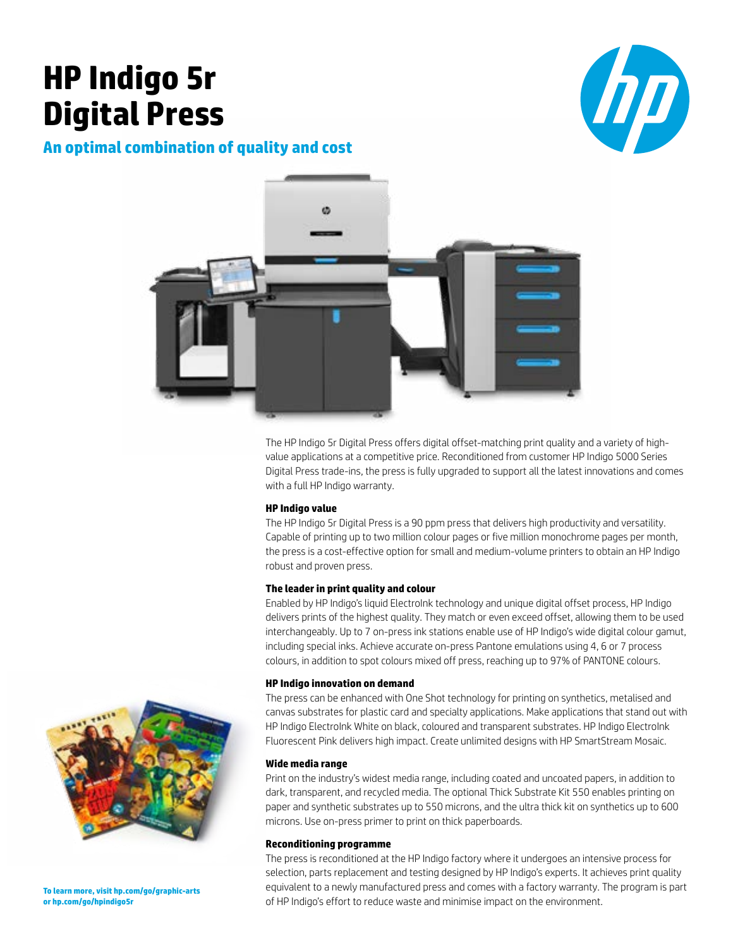# **HP Indigo 5r Digital Press**



# **An optimal combination of quality and cost**



The HP Indigo 5r Digital Press offers digital offset-matching print quality and a variety of highvalue applications at a competitive price. Reconditioned from customer HP Indigo 5000 Series Digital Press trade-ins, the press is fully upgraded to support all the latest innovations and comes with a full HP Indigo warranty.

## **HP Indigo value**

The HP Indigo 5r Digital Press is a 90 ppm press that delivers high productivity and versatility. Capable of printing up to two million colour pages or five million monochrome pages per month, the press is a cost-effective option for small and medium-volume printers to obtain an HP Indigo robust and proven press.

#### **The leader in print quality and colour**

Enabled by HP Indigo's liquid ElectroInk technology and unique digital offset process, HP Indigo delivers prints of the highest quality. They match or even exceed offset, allowing them to be used interchangeably. Up to 7 on-press ink stations enable use of HP Indigo's wide digital colour gamut, including special inks. Achieve accurate on-press Pantone emulations using 4, 6 or 7 process colours, in addition to spot colours mixed off press, reaching up to 97% of PANTONE colours.

#### **HP Indigo innovation on demand**

The press can be enhanced with One Shot technology for printing on synthetics, metalised and canvas substrates for plastic card and specialty applications. Make applications that stand out with HP Indigo ElectroInk White on black, coloured and transparent substrates. HP Indigo ElectroInk Fluorescent Pink delivers high impact. Create unlimited designs with HP SmartStream Mosaic.

## **Wide media range**

Print on the industry's widest media range, including coated and uncoated papers, in addition to dark, transparent, and recycled media. The optional Thick Substrate Kit 550 enables printing on paper and synthetic substrates up to 550 microns, and the ultra thick kit on synthetics up to 600 microns. Use on-press primer to print on thick paperboards.

# **Reconditioning programme**

The press is reconditioned at the HP Indigo factory where it undergoes an intensive process for selection, parts replacement and testing designed by HP Indigo's experts. It achieves print quality equivalent to a newly manufactured press and comes with a factory warranty. The program is part of HP Indigo's effort to reduce waste and minimise impact on the environment.